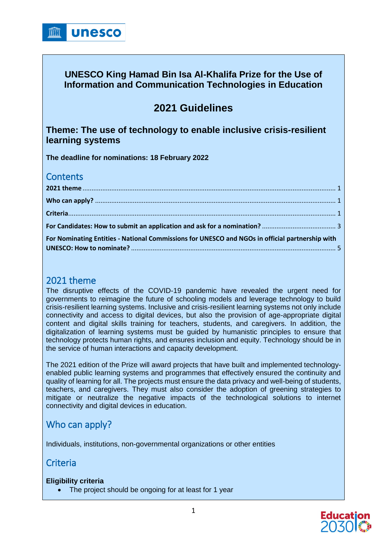### **UNESCO King Hamad Bin Isa Al-Khalifa Prize for the Use of Information and Communication Technologies in Education**

# **2021 Guidelines**

### **Theme: The use of technology to enable inclusive crisis-resilient learning systems**

**The deadline for nominations: 18 February 2022**

## **Contents**

| For Nominating Entities - National Commissions for UNESCO and NGOs in official partnership with |  |
|-------------------------------------------------------------------------------------------------|--|

## <span id="page-0-0"></span>2021 theme

The disruptive effects of the COVID-19 pandemic have revealed the urgent need for governments to reimagine the future of schooling models and leverage technology to build crisis-resilient learning systems. Inclusive and crisis-resilient learning systems not only include connectivity and access to digital devices, but also the provision of age-appropriate digital content and digital skills training for teachers, students, and caregivers. In addition, the digitalization of learning systems must be guided by humanistic principles to ensure that technology protects human rights, and ensures inclusion and equity. Technology should be in the service of human interactions and capacity development.

The 2021 edition of the Prize will award projects that have built and implemented technologyenabled public learning systems and programmes that effectively ensured the continuity and quality of learning for all. The projects must ensure the data privacy and well-being of students, teachers, and caregivers. They must also consider the adoption of greening strategies to mitigate or neutralize the negative impacts of the technological solutions to internet connectivity and digital devices in education.

## <span id="page-0-1"></span>Who can apply?

<span id="page-0-2"></span>Individuals, institutions, non-governmental organizations or other entities

## **Criteria**

#### **Eligibility criteria**

• The project should be ongoing for at least for 1 year

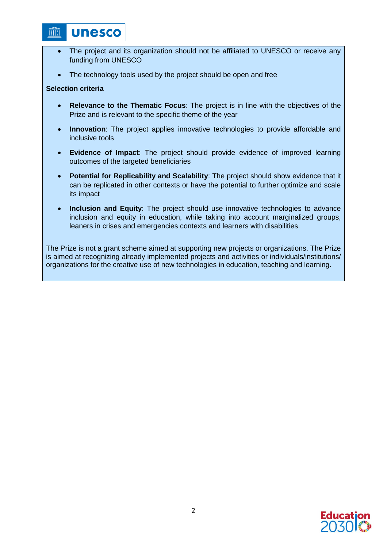## **unesco**

- The project and its organization should not be affiliated to UNESCO or receive any funding from UNESCO
- The technology tools used by the project should be open and free

#### **Selection criteria**

**THTT** 

- **Relevance to the Thematic Focus**: The project is in line with the objectives of the Prize and is relevant to the specific theme of the year
- **Innovation**: The project applies innovative technologies to provide affordable and inclusive tools
- **Evidence of Impact**: The project should provide evidence of improved learning outcomes of the targeted beneficiaries
- **Potential for Replicability and Scalability**: The project should show evidence that it can be replicated in other contexts or have the potential to further optimize and scale its impact
- **Inclusion and Equity**: The project should use innovative technologies to advance inclusion and equity in education, while taking into account marginalized groups, leaners in crises and emergencies contexts and learners with disabilities.

The Prize is not a grant scheme aimed at supporting new projects or organizations. The Prize is aimed at recognizing already implemented projects and activities or individuals/institutions/ organizations for the creative use of new technologies in education, teaching and learning.

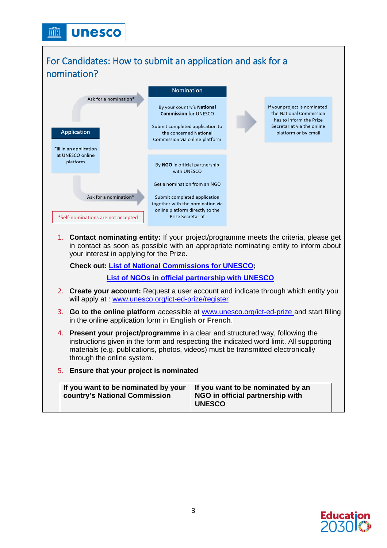## <span id="page-2-0"></span>For Candidates: How to submit an application and ask for a nomination?



1. **Contact nominating entity:** If your project/programme meets the criteria, please get in contact as soon as possible with an appropriate nominating entity to inform about your interest in applying for the Prize.

**Check out: [List of National Commissions for UNESCO;](https://pax.unesco.org/xml_files/CRM_PROD_Outbound/NationalCommissions.asp)** 

**[List of NGOs in official partnership with UNESCO](https://en.unesco.org/sites/default/files/list_ngos_official_partners_unesco.pdf)**

- 2. **Create your account:** Request a user account and indicate through which entity you will apply at : [www.unesco.org/ict-ed-prize/register](http://www.unesco.org/ict-ed-prize/register)
- 3. **Go to the online platform** accessible at [www.unesco.org/ict-ed-prize](http://www.unesco.org/ict-ed-prize) and start filling in the online application form in **English or French**.
- 4. **Present your project/programme** in a clear and structured way, following the instructions given in the form and respecting the indicated word limit. All supporting materials (e.g. publications, photos, videos) must be transmitted electronically through the online system.
- 5. **Ensure that your project is nominated**

| If you want to be nominated by your<br>country's National Commission | If you want to be nominated by an<br>NGO in official partnership with<br><b>UNESCO</b> |  |
|----------------------------------------------------------------------|----------------------------------------------------------------------------------------|--|
|----------------------------------------------------------------------|----------------------------------------------------------------------------------------|--|

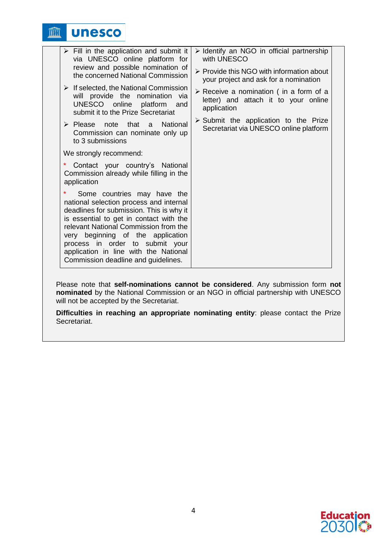**unesco** <u>in</u>

| $\triangleright$ Fill in the application and submit it<br>via UNESCO online platform for                                                                                                                                                                                                                                                                                 | $\triangleright$ Identify an NGO in official partnership<br>with UNESCO                                      |
|--------------------------------------------------------------------------------------------------------------------------------------------------------------------------------------------------------------------------------------------------------------------------------------------------------------------------------------------------------------------------|--------------------------------------------------------------------------------------------------------------|
| review and possible nomination of<br>the concerned National Commission                                                                                                                                                                                                                                                                                                   | $\triangleright$ Provide this NGO with information about<br>your project and ask for a nomination            |
| $\triangleright$ If selected, the National Commission<br>will provide the nomination via<br>UNESCO online platform and<br>submit it to the Prize Secretariat                                                                                                                                                                                                             | $\triangleright$ Receive a nomination (in a form of a<br>letter) and attach it to your online<br>application |
| $\triangleright$ Please note that a National<br>Commission can nominate only up<br>to 3 submissions                                                                                                                                                                                                                                                                      | $\triangleright$ Submit the application to the Prize<br>Secretariat via UNESCO online platform               |
| We strongly recommend:                                                                                                                                                                                                                                                                                                                                                   |                                                                                                              |
| Contact your country's National<br>Commission already while filling in the<br>application                                                                                                                                                                                                                                                                                |                                                                                                              |
| $\ast$<br>Some countries may have the<br>national selection process and internal<br>deadlines for submission. This is why it<br>is essential to get in contact with the<br>relevant National Commission from the<br>very beginning of the application<br>process in order to submit your<br>application in line with the National<br>Commission deadline and guidelines. |                                                                                                              |

Please note that **self-nominations cannot be considered**. Any submission form **not nominated** by the National Commission or an NGO in official partnership with UNESCO will not be accepted by the Secretariat.

**Difficulties in reaching an appropriate nominating entity**: please contact the Prize Secretariat.